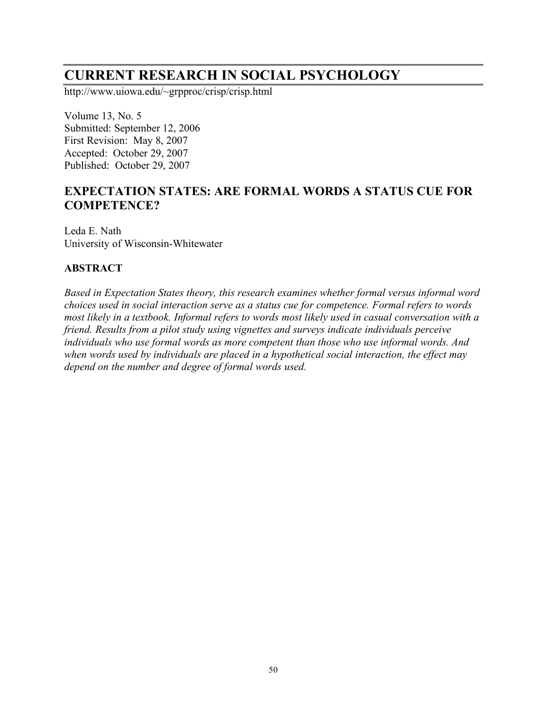# **CURRENT RESEARCH IN SOCIAL PSYCHOLOGY**

http://www.uiowa.edu/~grpproc/crisp/crisp.html

Volume 13, No. 5 Submitted: September 12, 2006 First Revision: May 8, 2007 Accepted: October 29, 2007 Published: October 29, 2007

## **EXPECTATION STATES: ARE FORMAL WORDS A STATUS CUE FOR COMPETENCE?**

Leda E. Nath University of Wisconsin-Whitewater

#### **ABSTRACT**

*Based in Expectation States theory, this research examines whether formal versus informal word choices used in social interaction serve as a status cue for competence. Formal refers to words most likely in a textbook. Informal refers to words most likely used in casual conversation with a friend. Results from a pilot study using vignettes and surveys indicate individuals perceive individuals who use formal words as more competent than those who use informal words. And when words used by individuals are placed in a hypothetical social interaction, the effect may depend on the number and degree of formal words used.*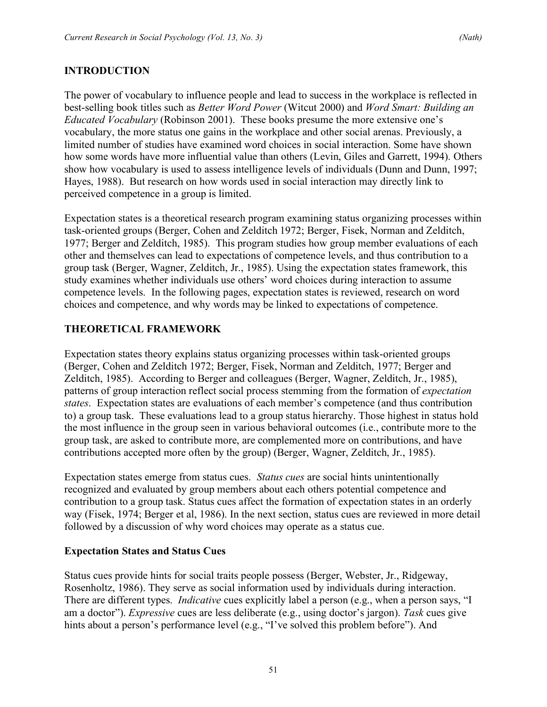#### **INTRODUCTION**

The power of vocabulary to influence people and lead to success in the workplace is reflected in best-selling book titles such as *Better Word Power* (Witcut 2000) and *Word Smart: Building an Educated Vocabulary* (Robinson 2001). These books presume the more extensive one's vocabulary, the more status one gains in the workplace and other social arenas. Previously, a limited number of studies have examined word choices in social interaction. Some have shown how some words have more influential value than others (Levin, Giles and Garrett, 1994). Others show how vocabulary is used to assess intelligence levels of individuals (Dunn and Dunn, 1997; Hayes, 1988). But research on how words used in social interaction may directly link to perceived competence in a group is limited.

Expectation states is a theoretical research program examining status organizing processes within task-oriented groups (Berger, Cohen and Zelditch 1972; Berger, Fisek, Norman and Zelditch, 1977; Berger and Zelditch, 1985). This program studies how group member evaluations of each other and themselves can lead to expectations of competence levels, and thus contribution to a group task (Berger, Wagner, Zelditch, Jr., 1985). Using the expectation states framework, this study examines whether individuals use others' word choices during interaction to assume competence levels. In the following pages, expectation states is reviewed, research on word choices and competence, and why words may be linked to expectations of competence.

#### **THEORETICAL FRAMEWORK**

Expectation states theory explains status organizing processes within task-oriented groups (Berger, Cohen and Zelditch 1972; Berger, Fisek, Norman and Zelditch, 1977; Berger and Zelditch, 1985). According to Berger and colleagues (Berger, Wagner, Zelditch, Jr., 1985), patterns of group interaction reflect social process stemming from the formation of *expectation states*. Expectation states are evaluations of each member's competence (and thus contribution to) a group task. These evaluations lead to a group status hierarchy. Those highest in status hold the most influence in the group seen in various behavioral outcomes (i.e., contribute more to the group task, are asked to contribute more, are complemented more on contributions, and have contributions accepted more often by the group) (Berger, Wagner, Zelditch, Jr., 1985).

Expectation states emerge from status cues. *Status cues* are social hints unintentionally recognized and evaluated by group members about each others potential competence and contribution to a group task. Status cues affect the formation of expectation states in an orderly way (Fisek, 1974; Berger et al, 1986). In the next section, status cues are reviewed in more detail followed by a discussion of why word choices may operate as a status cue.

#### **Expectation States and Status Cues**

Status cues provide hints for social traits people possess (Berger, Webster, Jr., Ridgeway, Rosenholtz, 1986). They serve as social information used by individuals during interaction. There are different types. *Indicative* cues explicitly label a person (e.g., when a person says, "I am a doctor"). *Expressive* cues are less deliberate (e.g., using doctor's jargon). *Task* cues give hints about a person's performance level (e.g., "I've solved this problem before"). And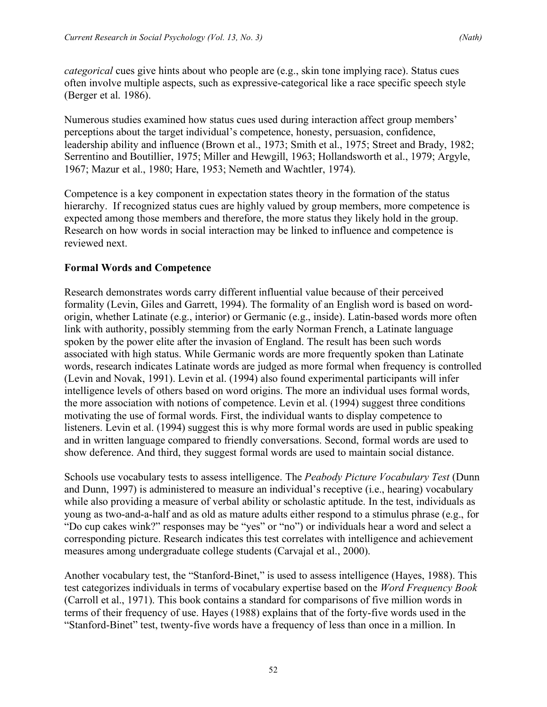*categorical* cues give hints about who people are (e.g., skin tone implying race). Status cues often involve multiple aspects, such as expressive-categorical like a race specific speech style (Berger et al. 1986).

Numerous studies examined how status cues used during interaction affect group members' perceptions about the target individual's competence, honesty, persuasion, confidence, leadership ability and influence (Brown et al., 1973; Smith et al., 1975; Street and Brady, 1982; Serrentino and Boutillier, 1975; Miller and Hewgill, 1963; Hollandsworth et al., 1979; Argyle, 1967; Mazur et al., 1980; Hare, 1953; Nemeth and Wachtler, 1974).

Competence is a key component in expectation states theory in the formation of the status hierarchy. If recognized status cues are highly valued by group members, more competence is expected among those members and therefore, the more status they likely hold in the group. Research on how words in social interaction may be linked to influence and competence is reviewed next.

#### **Formal Words and Competence**

Research demonstrates words carry different influential value because of their perceived formality (Levin, Giles and Garrett, 1994). The formality of an English word is based on wordorigin, whether Latinate (e.g., interior) or Germanic (e.g., inside). Latin-based words more often link with authority, possibly stemming from the early Norman French, a Latinate language spoken by the power elite after the invasion of England. The result has been such words associated with high status. While Germanic words are more frequently spoken than Latinate words, research indicates Latinate words are judged as more formal when frequency is controlled (Levin and Novak, 1991). Levin et al. (1994) also found experimental participants will infer intelligence levels of others based on word origins. The more an individual uses formal words, the more association with notions of competence. Levin et al. (1994) suggest three conditions motivating the use of formal words. First, the individual wants to display competence to listeners. Levin et al. (1994) suggest this is why more formal words are used in public speaking and in written language compared to friendly conversations. Second, formal words are used to show deference. And third, they suggest formal words are used to maintain social distance.

Schools use vocabulary tests to assess intelligence. The *Peabody Picture Vocabulary Test* (Dunn and Dunn, 1997) is administered to measure an individual's receptive (i.e., hearing) vocabulary while also providing a measure of verbal ability or scholastic aptitude. In the test, individuals as young as two-and-a-half and as old as mature adults either respond to a stimulus phrase (e.g., for "Do cup cakes wink?" responses may be "yes" or "no") or individuals hear a word and select a corresponding picture. Research indicates this test correlates with intelligence and achievement measures among undergraduate college students (Carvajal et al., 2000).

Another vocabulary test, the "Stanford-Binet," is used to assess intelligence (Hayes, 1988). This test categorizes individuals in terms of vocabulary expertise based on the *Word Frequency Book* (Carroll et al., 1971). This book contains a standard for comparisons of five million words in terms of their frequency of use. Hayes (1988) explains that of the forty-five words used in the "Stanford-Binet" test, twenty-five words have a frequency of less than once in a million. In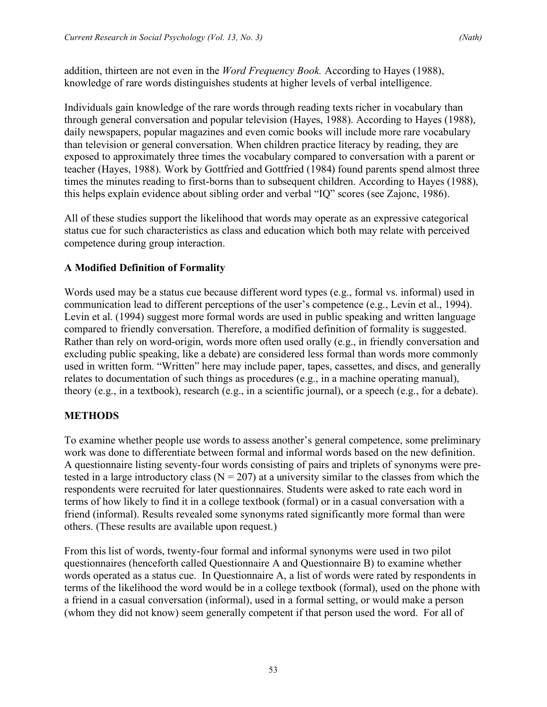addition, thirteen are not even in the *Word Frequency Book.* According to Hayes (1988), knowledge of rare words distinguishes students at higher levels of verbal intelligence.

Individuals gain knowledge of the rare words through reading texts richer in vocabulary than through general conversation and popular television (Hayes, 1988). According to Hayes (1988), daily newspapers, popular magazines and even comic books will include more rare vocabulary than television or general conversation. When children practice literacy by reading, they are exposed to approximately three times the vocabulary compared to conversation with a parent or teacher (Hayes, 1988). Work by Gottfried and Gottfried (1984) found parents spend almost three times the minutes reading to first-borns than to subsequent children. According to Hayes (1988), this helps explain evidence about sibling order and verbal "IQ" scores (see Zajonc, 1986).

All of these studies support the likelihood that words may operate as an expressive categorical status cue for such characteristics as class and education which both may relate with perceived competence during group interaction.

## **A Modified Definition of Formality**

Words used may be a status cue because different word types (e.g., formal vs. informal) used in communication lead to different perceptions of the user's competence (e.g., Levin et al., 1994). Levin et al. (1994) suggest more formal words are used in public speaking and written language compared to friendly conversation. Therefore, a modified definition of formality is suggested. Rather than rely on word-origin, words more often used orally (e.g., in friendly conversation and excluding public speaking, like a debate) are considered less formal than words more commonly used in written form. "Written" here may include paper, tapes, cassettes, and discs, and generally relates to documentation of such things as procedures (e.g., in a machine operating manual), theory (e.g., in a textbook), research (e.g., in a scientific journal), or a speech (e.g., for a debate).

## **METHODS**

To examine whether people use words to assess another's general competence, some preliminary work was done to differentiate between formal and informal words based on the new definition. A questionnaire listing seventy-four words consisting of pairs and triplets of synonyms were pretested in a large introductory class  $(N = 207)$  at a university similar to the classes from which the respondents were recruited for later questionnaires. Students were asked to rate each word in terms of how likely to find it in a college textbook (formal) or in a casual conversation with a friend (informal). Results revealed some synonyms rated significantly more formal than were others. (These results are available upon request.)

From this list of words, twenty-four formal and informal synonyms were used in two pilot questionnaires (henceforth called Questionnaire A and Questionnaire B) to examine whether words operated as a status cue. In Questionnaire A, a list of words were rated by respondents in terms of the likelihood the word would be in a college textbook (formal), used on the phone with a friend in a casual conversation (informal), used in a formal setting, or would make a person (whom they did not know) seem generally competent if that person used the word. For all of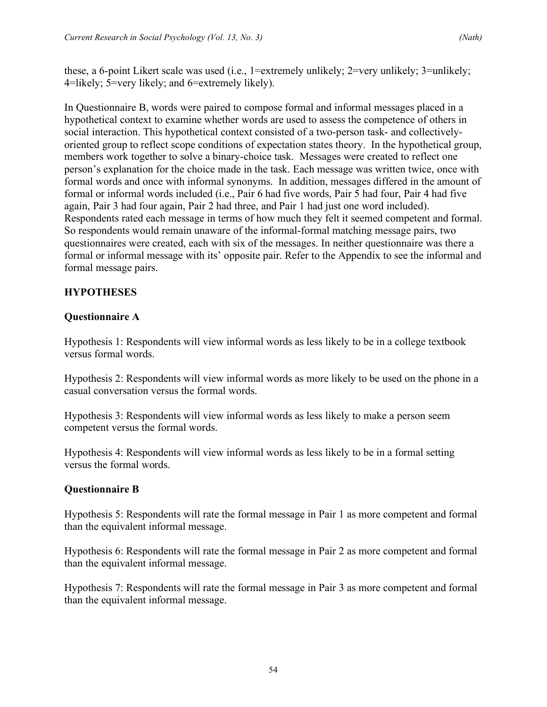these, a 6-point Likert scale was used (i.e., 1=extremely unlikely; 2=very unlikely; 3=unlikely; 4=likely; 5=very likely; and 6=extremely likely).

In Questionnaire B, words were paired to compose formal and informal messages placed in a hypothetical context to examine whether words are used to assess the competence of others in social interaction. This hypothetical context consisted of a two-person task- and collectivelyoriented group to reflect scope conditions of expectation states theory. In the hypothetical group, members work together to solve a binary-choice task. Messages were created to reflect one person's explanation for the choice made in the task. Each message was written twice, once with formal words and once with informal synonyms. In addition, messages differed in the amount of formal or informal words included (i.e., Pair 6 had five words, Pair 5 had four, Pair 4 had five again, Pair 3 had four again, Pair 2 had three, and Pair 1 had just one word included). Respondents rated each message in terms of how much they felt it seemed competent and formal. So respondents would remain unaware of the informal-formal matching message pairs, two questionnaires were created, each with six of the messages. In neither questionnaire was there a formal or informal message with its' opposite pair. Refer to the Appendix to see the informal and formal message pairs.

## **HYPOTHESES**

## **Questionnaire A**

Hypothesis 1: Respondents will view informal words as less likely to be in a college textbook versus formal words.

Hypothesis 2: Respondents will view informal words as more likely to be used on the phone in a casual conversation versus the formal words.

Hypothesis 3: Respondents will view informal words as less likely to make a person seem competent versus the formal words.

Hypothesis 4: Respondents will view informal words as less likely to be in a formal setting versus the formal words.

## **Questionnaire B**

Hypothesis 5: Respondents will rate the formal message in Pair 1 as more competent and formal than the equivalent informal message.

Hypothesis 6: Respondents will rate the formal message in Pair 2 as more competent and formal than the equivalent informal message.

Hypothesis 7: Respondents will rate the formal message in Pair 3 as more competent and formal than the equivalent informal message.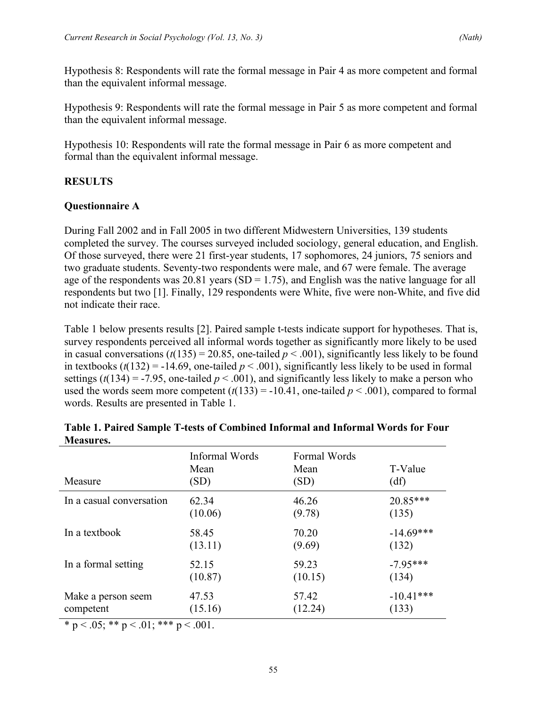Hypothesis 8: Respondents will rate the formal message in Pair 4 as more competent and formal than the equivalent informal message.

Hypothesis 9: Respondents will rate the formal message in Pair 5 as more competent and formal than the equivalent informal message.

Hypothesis 10: Respondents will rate the formal message in Pair 6 as more competent and formal than the equivalent informal message.

## **RESULTS**

#### **Questionnaire A**

During Fall 2002 and in Fall 2005 in two different Midwestern Universities, 139 students completed the survey. The courses surveyed included sociology, general education, and English. Of those surveyed, there were 21 first-year students, 17 sophomores, 24 juniors, 75 seniors and two graduate students. Seventy-two respondents were male, and 67 were female. The average age of the respondents was  $20.81$  years (SD = 1.75), and English was the native language for all respondents but two [1]. Finally, 129 respondents were White, five were non-White, and five did not indicate their race.

Table 1 below presents results [2]. Paired sample t-tests indicate support for hypotheses. That is, survey respondents perceived all informal words together as significantly more likely to be used in casual conversations  $(t(135) = 20.85$ , one-tailed  $p < .001$ ), significantly less likely to be found in textbooks ( $t(132) = -14.69$ , one-tailed  $p < .001$ ), significantly less likely to be used in formal settings ( $t(134) = -7.95$ , one-tailed  $p < .001$ ), and significantly less likely to make a person who used the words seem more competent  $(t(133) = -10.41$ , one-tailed  $p < .001$ ), compared to formal words. Results are presented in Table 1.

| Measure                  | Informal Words<br>Mean<br>(SD) | Formal Words<br>Mean<br>(SD) | T-Value<br>(df) |
|--------------------------|--------------------------------|------------------------------|-----------------|
| In a casual conversation | 62.34                          | 46.26                        | 20.85***        |
|                          | (10.06)                        | (9.78)                       | (135)           |
| In a textbook            | 58.45                          | 70.20                        | $-14.69***$     |
|                          | (13.11)                        | (9.69)                       | (132)           |
| In a formal setting      | 52.15                          | 59.23                        | $-7.95***$      |
|                          | (10.87)                        | (10.15)                      | (134)           |
| Make a person seem       | 47.53                          | 57.42                        | $-10.41***$     |
| competent                | (15.16)                        | (12.24)                      | (133)           |

**Table 1. Paired Sample T-tests of Combined Informal and Informal Words for Four Measures.**

\* p < .05; \*\* p < .01; \*\*\* p < .001.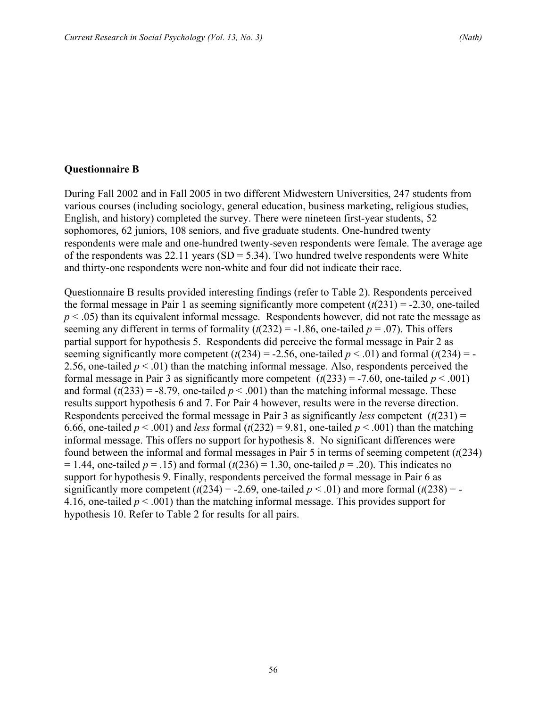#### **Questionnaire B**

During Fall 2002 and in Fall 2005 in two different Midwestern Universities, 247 students from various courses (including sociology, general education, business marketing, religious studies, English, and history) completed the survey. There were nineteen first-year students, 52 sophomores, 62 juniors, 108 seniors, and five graduate students. One-hundred twenty respondents were male and one-hundred twenty-seven respondents were female. The average age of the respondents was  $22.11$  years (SD = 5.34). Two hundred twelve respondents were White and thirty-one respondents were non-white and four did not indicate their race.

Questionnaire B results provided interesting findings (refer to Table 2). Respondents perceived the formal message in Pair 1 as seeming significantly more competent  $(t(231) = -2.30$ , one-tailed  $p < .05$ ) than its equivalent informal message. Respondents however, did not rate the message as seeming any different in terms of formality  $(t(232) = -1.86$ , one-tailed  $p = .07$ ). This offers partial support for hypothesis 5. Respondents did perceive the formal message in Pair 2 as seeming significantly more competent ( $t(234) = -2.56$ , one-tailed  $p < .01$ ) and formal ( $t(234) = -$ 2.56, one-tailed  $p < 0.01$ ) than the matching informal message. Also, respondents perceived the formal message in Pair 3 as significantly more competent  $(t(233) = -7.60$ , one-tailed  $p < .001$ ) and formal ( $t(233) = -8.79$ , one-tailed  $p < .001$ ) than the matching informal message. These results support hypothesis 6 and 7. For Pair 4 however, results were in the reverse direction. Respondents perceived the formal message in Pair 3 as significantly *less* competent  $(t(231) =$ 6.66, one-tailed  $p < .001$ ) and *less* formal ( $t(232) = 9.81$ , one-tailed  $p < .001$ ) than the matching informal message. This offers no support for hypothesis 8. No significant differences were found between the informal and formal messages in Pair 5 in terms of seeming competent (*t*(234)  $= 1.44$ , one-tailed  $p = .15$ ) and formal ( $t(236) = 1.30$ , one-tailed  $p = .20$ ). This indicates no support for hypothesis 9. Finally, respondents perceived the formal message in Pair 6 as significantly more competent  $(t(234) = -2.69)$ , one-tailed  $p < .01$ ) and more formal  $(t(238) = -1)$ 4.16, one-tailed  $p < .001$ ) than the matching informal message. This provides support for hypothesis 10. Refer to Table 2 for results for all pairs.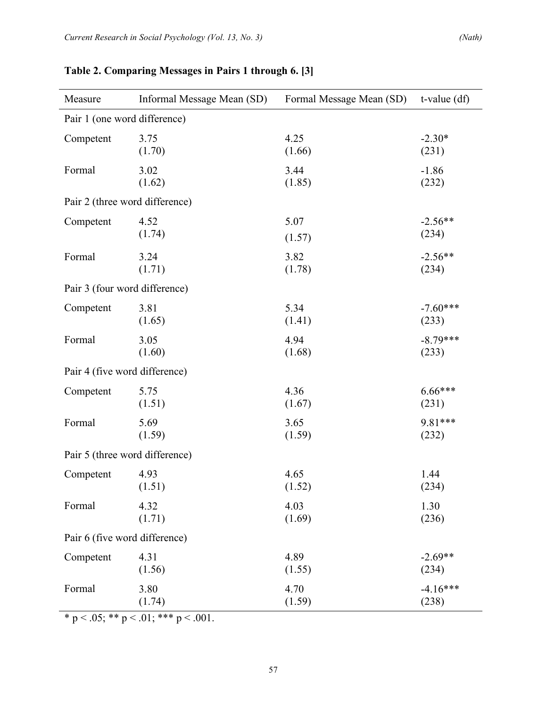| Measure                        | Informal Message Mean (SD) | Formal Message Mean (SD) | $t$ -value $(df)$ |  |  |
|--------------------------------|----------------------------|--------------------------|-------------------|--|--|
| Pair 1 (one word difference)   |                            |                          |                   |  |  |
| Competent                      | 3.75                       | 4.25                     | $-2.30*$          |  |  |
|                                | (1.70)                     | (1.66)                   | (231)             |  |  |
| Formal                         | 3.02                       | 3.44                     | $-1.86$           |  |  |
|                                | (1.62)                     | (1.85)                   | (232)             |  |  |
| Pair 2 (three word difference) |                            |                          |                   |  |  |
| Competent                      | 4.52                       | 5.07                     | $-2.56**$         |  |  |
|                                | (1.74)                     | (1.57)                   | (234)             |  |  |
| Formal                         | 3.24                       | 3.82                     | $-2.56**$         |  |  |
|                                | (1.71)                     | (1.78)                   | (234)             |  |  |
| Pair 3 (four word difference)  |                            |                          |                   |  |  |
| Competent                      | 3.81                       | 5.34                     | $-7.60***$        |  |  |
|                                | (1.65)                     | (1.41)                   | (233)             |  |  |
| Formal                         | 3.05                       | 4.94                     | $-8.79***$        |  |  |
|                                | (1.60)                     | (1.68)                   | (233)             |  |  |
| Pair 4 (five word difference)  |                            |                          |                   |  |  |
| Competent                      | 5.75                       | 4.36                     | $6.66***$         |  |  |
|                                | (1.51)                     | (1.67)                   | (231)             |  |  |
| Formal                         | 5.69                       | 3.65                     | 9.81***           |  |  |
|                                | (1.59)                     | (1.59)                   | (232)             |  |  |
| Pair 5 (three word difference) |                            |                          |                   |  |  |
| Competent                      | 4.93                       | 4.65                     | 1.44              |  |  |
|                                | (1.51)                     | (1.52)                   | (234)             |  |  |
| Formal                         | 4.32                       | 4.03                     | 1.30              |  |  |
|                                | (1.71)                     | (1.69)                   | (236)             |  |  |
| Pair 6 (five word difference)  |                            |                          |                   |  |  |
| Competent                      | 4.31                       | 4.89                     | $-2.69**$         |  |  |
|                                | (1.56)                     | (1.55)                   | (234)             |  |  |
| Formal                         | 3.80                       | 4.70                     | $-4.16***$        |  |  |
|                                | (1.74)                     | (1.59)                   | (238)             |  |  |

**Table 2. Comparing Messages in Pairs 1 through 6. [3]**

\* p < .05; \*\* p < .01; \*\*\* p < .001.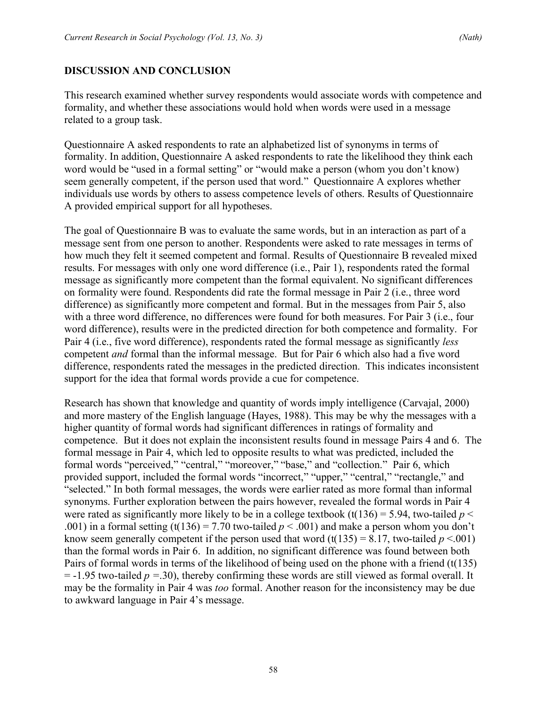#### **DISCUSSION AND CONCLUSION**

This research examined whether survey respondents would associate words with competence and formality, and whether these associations would hold when words were used in a message related to a group task.

Questionnaire A asked respondents to rate an alphabetized list of synonyms in terms of formality. In addition, Questionnaire A asked respondents to rate the likelihood they think each word would be "used in a formal setting" or "would make a person (whom you don't know) seem generally competent, if the person used that word." Questionnaire A explores whether individuals use words by others to assess competence levels of others. Results of Questionnaire A provided empirical support for all hypotheses.

The goal of Questionnaire B was to evaluate the same words, but in an interaction as part of a message sent from one person to another. Respondents were asked to rate messages in terms of how much they felt it seemed competent and formal. Results of Questionnaire B revealed mixed results. For messages with only one word difference (i.e., Pair 1), respondents rated the formal message as significantly more competent than the formal equivalent. No significant differences on formality were found. Respondents did rate the formal message in Pair 2 (i.e., three word difference) as significantly more competent and formal. But in the messages from Pair 5, also with a three word difference, no differences were found for both measures. For Pair 3 (i.e., four word difference), results were in the predicted direction for both competence and formality. For Pair 4 (i.e., five word difference), respondents rated the formal message as significantly *less* competent *and* formal than the informal message. But for Pair 6 which also had a five word difference, respondents rated the messages in the predicted direction. This indicates inconsistent support for the idea that formal words provide a cue for competence.

Research has shown that knowledge and quantity of words imply intelligence (Carvajal, 2000) and more mastery of the English language (Hayes, 1988). This may be why the messages with a higher quantity of formal words had significant differences in ratings of formality and competence. But it does not explain the inconsistent results found in message Pairs 4 and 6. The formal message in Pair 4, which led to opposite results to what was predicted, included the formal words "perceived," "central," "moreover," "base," and "collection." Pair 6, which provided support, included the formal words "incorrect," "upper," "central," "rectangle," and "selected." In both formal messages, the words were earlier rated as more formal than informal synonyms. Further exploration between the pairs however, revealed the formal words in Pair 4 were rated as significantly more likely to be in a college textbook (t(136) = 5.94, two-tailed  $p <$ .001) in a formal setting  $(t(136) = 7.70$  two-tailed  $p < .001$  and make a person whom you don't know seem generally competent if the person used that word  $(t(135) = 8.17$ , two-tailed  $p \le 0.001$ ) than the formal words in Pair 6. In addition, no significant difference was found between both Pairs of formal words in terms of the likelihood of being used on the phone with a friend (t(135) = -1.95 two-tailed *p =*.30), thereby confirming these words are still viewed as formal overall. It may be the formality in Pair 4 was *too* formal. Another reason for the inconsistency may be due to awkward language in Pair 4's message.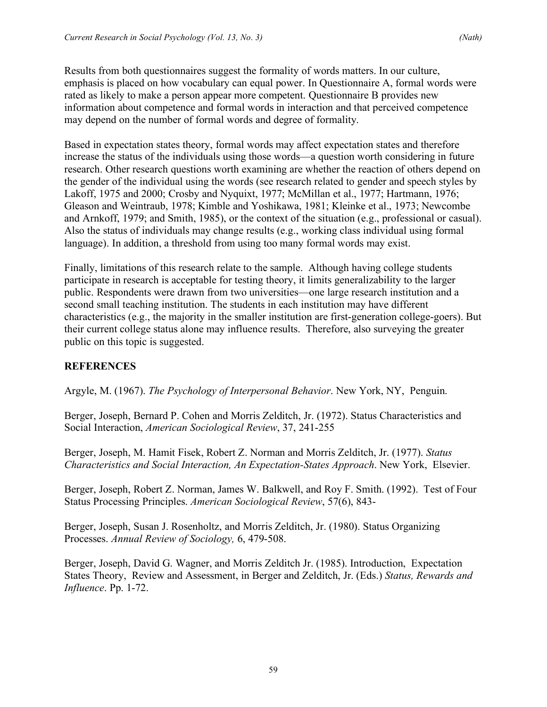Results from both questionnaires suggest the formality of words matters. In our culture, emphasis is placed on how vocabulary can equal power. In Questionnaire A, formal words were rated as likely to make a person appear more competent. Questionnaire B provides new information about competence and formal words in interaction and that perceived competence may depend on the number of formal words and degree of formality.

Based in expectation states theory, formal words may affect expectation states and therefore increase the status of the individuals using those words—a question worth considering in future research. Other research questions worth examining are whether the reaction of others depend on the gender of the individual using the words (see research related to gender and speech styles by Lakoff, 1975 and 2000; Crosby and Nyquixt, 1977; McMillan et al., 1977; Hartmann, 1976; Gleason and Weintraub, 1978; Kimble and Yoshikawa, 1981; Kleinke et al., 1973; Newcombe and Arnkoff, 1979; and Smith, 1985), or the context of the situation (e.g., professional or casual). Also the status of individuals may change results (e.g., working class individual using formal language). In addition, a threshold from using too many formal words may exist.

Finally, limitations of this research relate to the sample. Although having college students participate in research is acceptable for testing theory, it limits generalizability to the larger public. Respondents were drawn from two universities—one large research institution and a second small teaching institution. The students in each institution may have different characteristics (e.g., the majority in the smaller institution are first-generation college-goers). But their current college status alone may influence results. Therefore, also surveying the greater public on this topic is suggested.

## **REFERENCES**

Argyle, M. (1967). *The Psychology of Interpersonal Behavior*. New York, NY, Penguin.

Berger, Joseph, Bernard P. Cohen and Morris Zelditch, Jr. (1972). Status Characteristics and Social Interaction, *American Sociological Review*, 37, 241-255

Berger, Joseph, M. Hamit Fisek, Robert Z. Norman and Morris Zelditch, Jr. (1977). *Status Characteristics and Social Interaction, An Expectation-States Approach*. New York, Elsevier.

Berger, Joseph, Robert Z. Norman, James W. Balkwell, and Roy F. Smith. (1992). Test of Four Status Processing Principles. *American Sociological Review*, 57(6), 843-

Berger, Joseph, Susan J. Rosenholtz, and Morris Zelditch, Jr. (1980). Status Organizing Processes. *Annual Review of Sociology,* 6, 479-508.

Berger, Joseph, David G. Wagner, and Morris Zelditch Jr. (1985). Introduction, Expectation States Theory, Review and Assessment, in Berger and Zelditch, Jr. (Eds.) *Status, Rewards and Influence*. Pp. 1-72.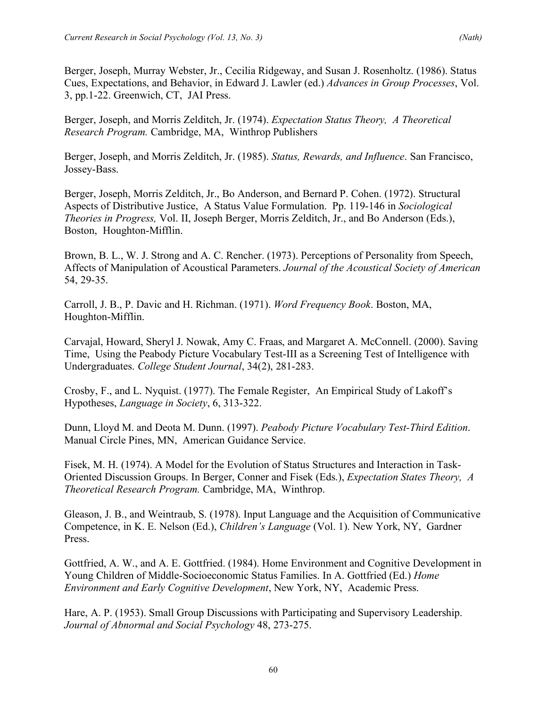Berger, Joseph, Murray Webster, Jr., Cecilia Ridgeway, and Susan J. Rosenholtz. (1986). Status Cues, Expectations, and Behavior, in Edward J. Lawler (ed.) *Advances in Group Processes*, Vol. 3, pp.1-22. Greenwich, CT, JAI Press.

Berger, Joseph, and Morris Zelditch, Jr. (1974). *Expectation Status Theory, A Theoretical Research Program.* Cambridge, MA, Winthrop Publishers

Berger, Joseph, and Morris Zelditch, Jr. (1985). *Status, Rewards, and Influence*. San Francisco, Jossey-Bass.

Berger, Joseph, Morris Zelditch, Jr., Bo Anderson, and Bernard P. Cohen. (1972). Structural Aspects of Distributive Justice, A Status Value Formulation. Pp. 119-146 in *Sociological Theories in Progress,* Vol. II, Joseph Berger, Morris Zelditch, Jr., and Bo Anderson (Eds.), Boston, Houghton-Mifflin.

Brown, B. L., W. J. Strong and A. C. Rencher. (1973). Perceptions of Personality from Speech, Affects of Manipulation of Acoustical Parameters. *Journal of the Acoustical Society of American* 54, 29-35.

Carroll, J. B., P. Davic and H. Richman. (1971). *Word Frequency Book*. Boston, MA, Houghton-Mifflin.

Carvajal, Howard, Sheryl J. Nowak, Amy C. Fraas, and Margaret A. McConnell. (2000). Saving Time, Using the Peabody Picture Vocabulary Test-III as a Screening Test of Intelligence with Undergraduates. *College Student Journal*, 34(2), 281-283.

Crosby, F., and L. Nyquist. (1977). The Female Register, An Empirical Study of Lakoff's Hypotheses, *Language in Society*, 6, 313-322.

Dunn, Lloyd M. and Deota M. Dunn. (1997). *Peabody Picture Vocabulary Test-Third Edition*. Manual Circle Pines, MN, American Guidance Service.

Fisek, M. H. (1974). A Model for the Evolution of Status Structures and Interaction in Task-Oriented Discussion Groups. In Berger, Conner and Fisek (Eds.), *Expectation States Theory, A Theoretical Research Program.* Cambridge, MA, Winthrop.

Gleason, J. B., and Weintraub, S. (1978). Input Language and the Acquisition of Communicative Competence, in K. E. Nelson (Ed.), *Children's Language* (Vol. 1). New York, NY, Gardner Press.

Gottfried, A. W., and A. E. Gottfried. (1984). Home Environment and Cognitive Development in Young Children of Middle-Socioeconomic Status Families. In A. Gottfried (Ed.) *Home Environment and Early Cognitive Development*, New York, NY, Academic Press.

Hare, A. P. (1953). Small Group Discussions with Participating and Supervisory Leadership. *Journal of Abnormal and Social Psychology* 48, 273-275.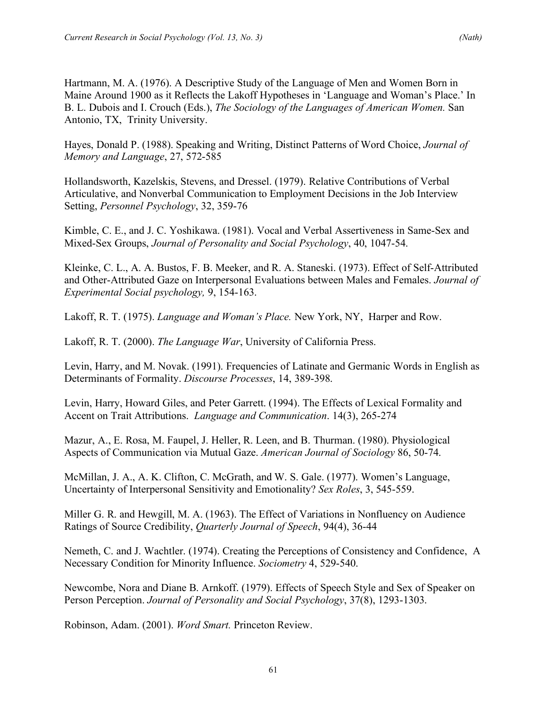Hartmann, M. A. (1976). A Descriptive Study of the Language of Men and Women Born in Maine Around 1900 as it Reflects the Lakoff Hypotheses in 'Language and Woman's Place.' In B. L. Dubois and I. Crouch (Eds.), *The Sociology of the Languages of American Women.* San Antonio, TX, Trinity University.

Hayes, Donald P. (1988). Speaking and Writing, Distinct Patterns of Word Choice, *Journal of Memory and Language*, 27, 572-585

Hollandsworth, Kazelskis, Stevens, and Dressel. (1979). Relative Contributions of Verbal Articulative, and Nonverbal Communication to Employment Decisions in the Job Interview Setting, *Personnel Psychology*, 32, 359-76

Kimble, C. E., and J. C. Yoshikawa. (1981). Vocal and Verbal Assertiveness in Same-Sex and Mixed-Sex Groups, *Journal of Personality and Social Psychology*, 40, 1047-54.

Kleinke, C. L., A. A. Bustos, F. B. Meeker, and R. A. Staneski. (1973). Effect of Self-Attributed and Other-Attributed Gaze on Interpersonal Evaluations between Males and Females. *Journal of Experimental Social psychology,* 9, 154-163.

Lakoff, R. T. (1975). *Language and Woman's Place.* New York, NY, Harper and Row.

Lakoff, R. T. (2000). *The Language War*, University of California Press.

Levin, Harry, and M. Novak. (1991). Frequencies of Latinate and Germanic Words in English as Determinants of Formality. *Discourse Processes*, 14, 389-398.

Levin, Harry, Howard Giles, and Peter Garrett. (1994). The Effects of Lexical Formality and Accent on Trait Attributions. *Language and Communication*. 14(3), 265-274

Mazur, A., E. Rosa, M. Faupel, J. Heller, R. Leen, and B. Thurman. (1980). Physiological Aspects of Communication via Mutual Gaze. *American Journal of Sociology* 86, 50-74.

McMillan, J. A., A. K. Clifton, C. McGrath, and W. S. Gale. (1977). Women's Language, Uncertainty of Interpersonal Sensitivity and Emotionality? *Sex Roles*, 3, 545-559.

Miller G. R. and Hewgill, M. A. (1963). The Effect of Variations in Nonfluency on Audience Ratings of Source Credibility, *Quarterly Journal of Speech*, 94(4), 36-44

Nemeth, C. and J. Wachtler. (1974). Creating the Perceptions of Consistency and Confidence, A Necessary Condition for Minority Influence. *Sociometry* 4, 529-540.

Newcombe, Nora and Diane B. Arnkoff. (1979). Effects of Speech Style and Sex of Speaker on Person Perception. *Journal of Personality and Social Psychology*, 37(8), 1293-1303.

Robinson, Adam. (2001). *Word Smart.* Princeton Review.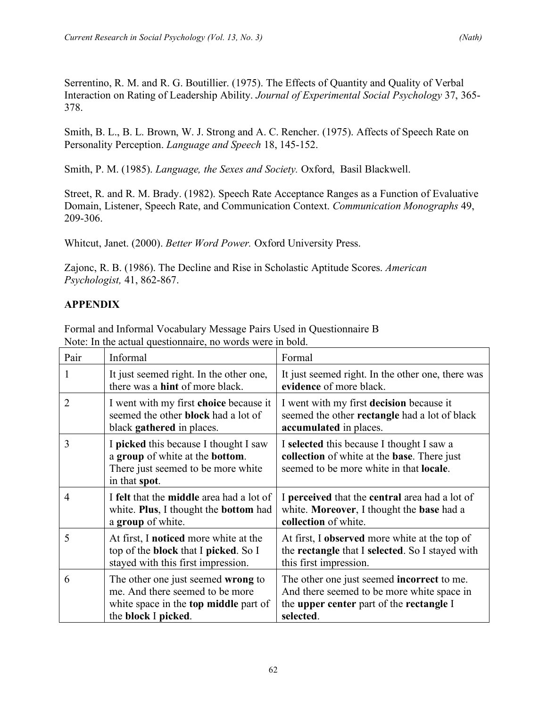Smith, B. L., B. L. Brown, W. J. Strong and A. C. Rencher. (1975). Affects of Speech Rate on Personality Perception. *Language and Speech* 18, 145-152.

Smith, P. M. (1985). *Language, the Sexes and Society.* Oxford, Basil Blackwell.

Street, R. and R. M. Brady. (1982). Speech Rate Acceptance Ranges as a Function of Evaluative Domain, Listener, Speech Rate, and Communication Context. *Communication Monographs* 49, 209-306.

Whitcut, Janet. (2000). *Better Word Power.* Oxford University Press.

Zajonc, R. B. (1986). The Decline and Rise in Scholastic Aptitude Scores. *American Psychologist,* 41, 862-867.

## **APPENDIX**

Formal and Informal Vocabulary Message Pairs Used in Questionnaire B Note: In the actual questionnaire, no words were in bold.

| Pair           | Informal                                                                                                                                     | Formal                                                                                                                                                   |
|----------------|----------------------------------------------------------------------------------------------------------------------------------------------|----------------------------------------------------------------------------------------------------------------------------------------------------------|
| 1              | It just seemed right. In the other one,<br>there was a <b>hint</b> of more black.                                                            | It just seemed right. In the other one, there was<br>evidence of more black.                                                                             |
| $\overline{2}$ | I went with my first choice because it<br>seemed the other <b>block</b> had a lot of<br>black gathered in places.                            | I went with my first decision because it<br>seemed the other <b>rectangle</b> had a lot of black<br>accumulated in places.                               |
| 3              | I picked this because I thought I saw<br>a group of white at the bottom.<br>There just seemed to be more white<br>in that spot.              | I selected this because I thought I saw a<br>collection of white at the base. There just<br>seemed to be more white in that <b>locale</b> .              |
| $\overline{4}$ | I felt that the middle area had a lot of<br>white. Plus, I thought the <b>bottom</b> had<br>a group of white.                                | I perceived that the central area had a lot of<br>white. <b>Moreover</b> , I thought the <b>base</b> had a<br>collection of white.                       |
| 5              | At first, I noticed more white at the<br>top of the <b>block</b> that I <b>picked</b> . So I<br>stayed with this first impression.           | At first, I observed more white at the top of<br>the <b>rectangle</b> that I <b>selected</b> . So I stayed with<br>this first impression.                |
| 6              | The other one just seemed wrong to<br>me. And there seemed to be more<br>white space in the <b>top middle</b> part of<br>the block I picked. | The other one just seemed <b>incorrect</b> to me.<br>And there seemed to be more white space in<br>the upper center part of the rectangle I<br>selected. |

62